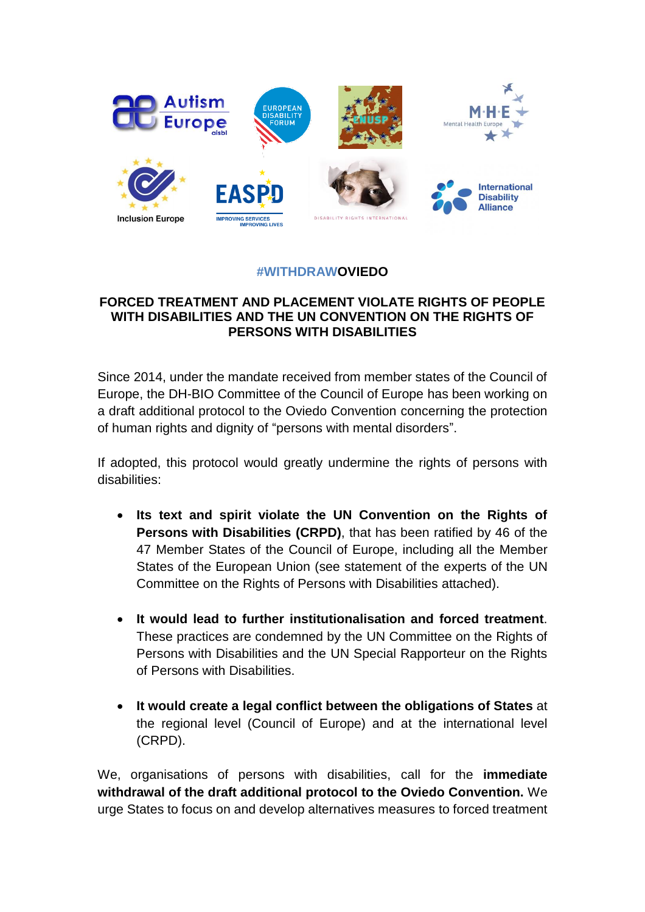

## **#WITHDRAWOVIEDO**

## **FORCED TREATMENT AND PLACEMENT VIOLATE RIGHTS OF PEOPLE WITH DISABILITIES AND THE UN CONVENTION ON THE RIGHTS OF PERSONS WITH DISABILITIES**

Since 2014, under the mandate received from member states of the Council of Europe, the DH-BIO Committee of the Council of Europe has been working on a draft additional protocol to the Oviedo Convention concerning the protection of human rights and dignity of "persons with mental disorders".

If adopted, this protocol would greatly undermine the rights of persons with disabilities:

- **Its text and spirit violate the UN Convention on the Rights of Persons with Disabilities (CRPD)**, that has been ratified by 46 of the 47 Member States of the Council of Europe, including all the Member States of the European Union (see statement of the experts of the UN Committee on the Rights of Persons with Disabilities attached).
- **It would lead to further institutionalisation and forced treatment**. These practices are condemned by the UN Committee on the Rights of Persons with Disabilities and the UN Special Rapporteur on the Rights of Persons with Disabilities.
- **It would create a legal conflict between the obligations of States** at the regional level (Council of Europe) and at the international level (CRPD).

We, organisations of persons with disabilities, call for the **immediate withdrawal of the draft additional protocol to the Oviedo Convention.** We urge States to focus on and develop alternatives measures to forced treatment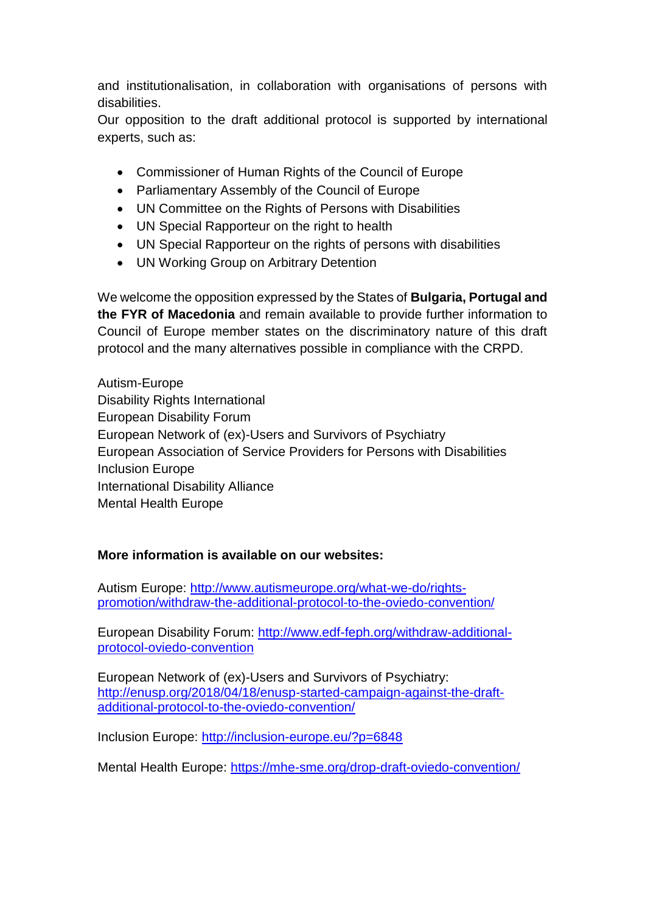and institutionalisation, in collaboration with organisations of persons with disabilities.

Our opposition to the draft additional protocol is supported by international experts, such as:

- Commissioner of Human Rights of the Council of Europe
- Parliamentary Assembly of the Council of Europe
- UN Committee on the Rights of Persons with Disabilities
- UN Special Rapporteur on the right to health
- UN Special Rapporteur on the rights of persons with disabilities
- UN Working Group on Arbitrary Detention

We welcome the opposition expressed by the States of **Bulgaria, Portugal and the FYR of Macedonia** and remain available to provide further information to Council of Europe member states on the discriminatory nature of this draft protocol and the many alternatives possible in compliance with the CRPD.

Autism-Europe Disability Rights International European Disability Forum European Network of (ex)-Users and Survivors of Psychiatry European Association of Service Providers for Persons with Disabilities Inclusion Europe International Disability Alliance Mental Health Europe

## **More information is available on our websites:**

Autism Europe: [http://www.autismeurope.org/what-we-do/rights](http://www.autismeurope.org/what-we-do/rights-promotion/withdraw-the-additional-protocol-to-the-oviedo-convention/)[promotion/withdraw-the-additional-protocol-to-the-oviedo-convention/](http://www.autismeurope.org/what-we-do/rights-promotion/withdraw-the-additional-protocol-to-the-oviedo-convention/)

European Disability Forum: [http://www.edf-feph.org/withdraw-additional](http://www.edf-feph.org/withdraw-additional-protocol-oviedo-convention)[protocol-oviedo-convention](http://www.edf-feph.org/withdraw-additional-protocol-oviedo-convention)

European Network of (ex)-Users and Survivors of Psychiatry: [http://enusp.org/2018/04/18/enusp-started-campaign-against-the-draft](http://enusp.org/2018/04/18/enusp-started-campaign-against-the-draft-additional-protocol-to-the-oviedo-convention/)[additional-protocol-to-the-oviedo-convention/](http://enusp.org/2018/04/18/enusp-started-campaign-against-the-draft-additional-protocol-to-the-oviedo-convention/) 

Inclusion Europe:<http://inclusion-europe.eu/?p=6848>

Mental Health Europe:<https://mhe-sme.org/drop-draft-oviedo-convention/>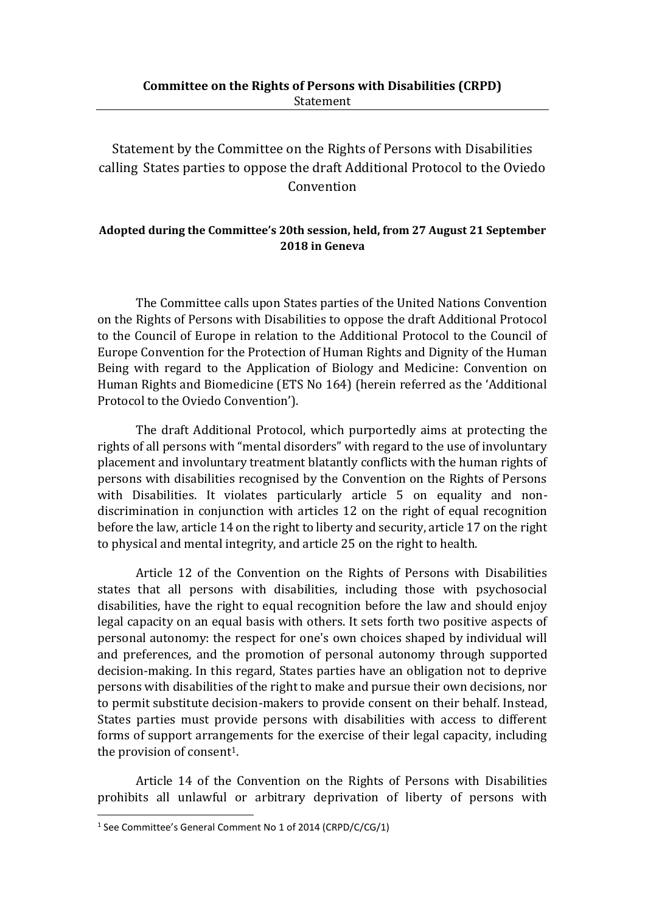Statement by the Committee on the Rights of Persons with Disabilities calling States parties to oppose the draft Additional Protocol to the Oviedo Convention

## **Adopted during the Committee's 20th session, held, from 27 August 21 September 2018 in Geneva**

The Committee calls upon States parties of the United Nations Convention on the Rights of Persons with Disabilities to oppose the draft Additional Protocol to the Council of Europe in relation to the Additional Protocol to the Council of Europe Convention for the Protection of Human Rights and Dignity of the Human Being with regard to the Application of Biology and Medicine: Convention on Human Rights and Biomedicine (ETS No 164) (herein referred as the 'Additional Protocol to the Oviedo Convention').

The draft Additional Protocol, which purportedly aims at protecting the rights of all persons with "mental disorders" with regard to the use of involuntary placement and involuntary treatment blatantly conflicts with the human rights of persons with disabilities recognised by the Convention on the Rights of Persons with Disabilities. It violates particularly article 5 on equality and nondiscrimination in conjunction with articles 12 on the right of equal recognition before the law, article 14 on the right to liberty and security, article 17 on the right to physical and mental integrity, and article 25 on the right to health.

Article 12 of the Convention on the Rights of Persons with Disabilities states that all persons with disabilities, including those with psychosocial disabilities, have the right to equal recognition before the law and should enjoy legal capacity on an equal basis with others. It sets forth two positive aspects of personal autonomy: the respect for one's own choices shaped by individual will and preferences, and the promotion of personal autonomy through supported decision-making. In this regard, States parties have an obligation not to deprive persons with disabilities of the right to make and pursue their own decisions, nor to permit substitute decision-makers to provide consent on their behalf. Instead, States parties must provide persons with disabilities with access to different forms of support arrangements for the exercise of their legal capacity, including the provision of consent<sup>1</sup>.

Article 14 of the Convention on the Rights of Persons with Disabilities prohibits all unlawful or arbitrary deprivation of liberty of persons with

 $\overline{a}$ 

<sup>&</sup>lt;sup>1</sup> See Committee's General Comment No 1 of 2014 (CRPD/C/CG/1)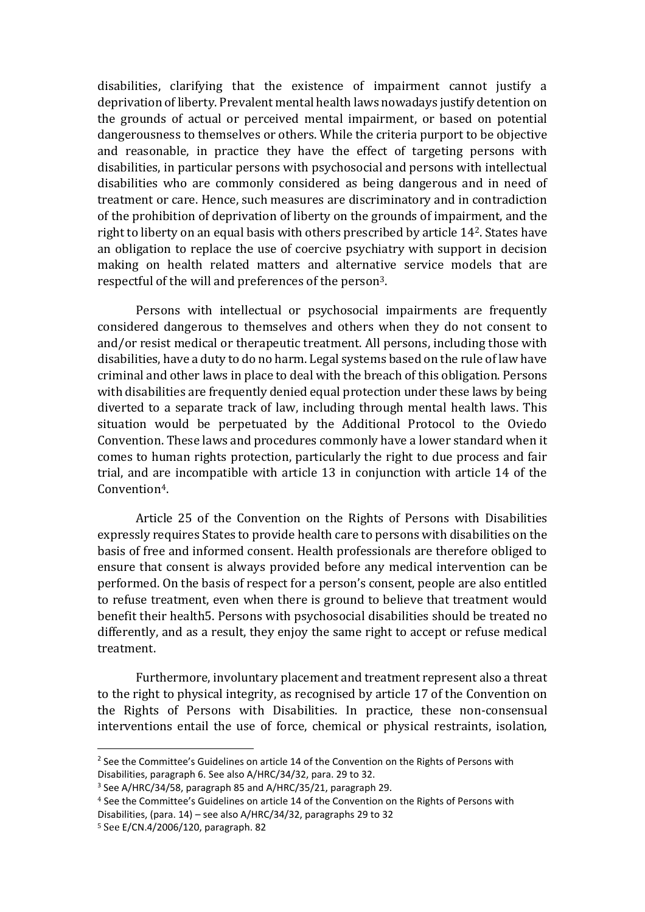disabilities, clarifying that the existence of impairment cannot justify a deprivation of liberty. Prevalent mental health laws nowadays justify detention on the grounds of actual or perceived mental impairment, or based on potential dangerousness to themselves or others. While the criteria purport to be objective and reasonable, in practice they have the effect of targeting persons with disabilities, in particular persons with psychosocial and persons with intellectual disabilities who are commonly considered as being dangerous and in need of treatment or care. Hence, such measures are discriminatory and in contradiction of the prohibition of deprivation of liberty on the grounds of impairment, and the right to liberty on an equal basis with others prescribed by article 142. States have an obligation to replace the use of coercive psychiatry with support in decision making on health related matters and alternative service models that are respectful of the will and preferences of the person3.

Persons with intellectual or psychosocial impairments are frequently considered dangerous to themselves and others when they do not consent to and/or resist medical or therapeutic treatment. All persons, including those with disabilities, have a duty to do no harm. Legal systems based on the rule of law have criminal and other laws in place to deal with the breach of this obligation. Persons with disabilities are frequently denied equal protection under these laws by being diverted to a separate track of law, including through mental health laws. This situation would be perpetuated by the Additional Protocol to the Oviedo Convention. These laws and procedures commonly have a lower standard when it comes to human rights protection, particularly the right to due process and fair trial, and are incompatible with article 13 in conjunction with article 14 of the Convention4.

Article 25 of the Convention on the Rights of Persons with Disabilities expressly requires States to provide health care to persons with disabilities on the basis of free and informed consent. Health professionals are therefore obliged to ensure that consent is always provided before any medical intervention can be performed. On the basis of respect for a person's consent, people are also entitled to refuse treatment, even when there is ground to believe that treatment would benefit their health5. Persons with psychosocial disabilities should be treated no differently, and as a result, they enjoy the same right to accept or refuse medical treatment.

Furthermore, involuntary placement and treatment represent also a threat to the right to physical integrity, as recognised by article 17 of the Convention on the Rights of Persons with Disabilities. In practice, these non-consensual interventions entail the use of force, chemical or physical restraints, isolation,

 $\overline{a}$ 

<sup>&</sup>lt;sup>2</sup> See the Committee's Guidelines on article 14 of the Convention on the Rights of Persons with Disabilities, paragraph 6. See also A/HRC/34/32, para. 29 to 32.

<sup>&</sup>lt;sup>3</sup> See A/HRC/34/58, paragraph 85 and A/HRC/35/21, paragraph 29.

<sup>4</sup> See the Committee's Guidelines on article 14 of the Convention on the Rights of Persons with Disabilities, (para. 14) – see also A/HRC/34/32, paragraphs 29 to 32

<sup>5</sup> See E/CN.4/2006/120, paragraph. 82